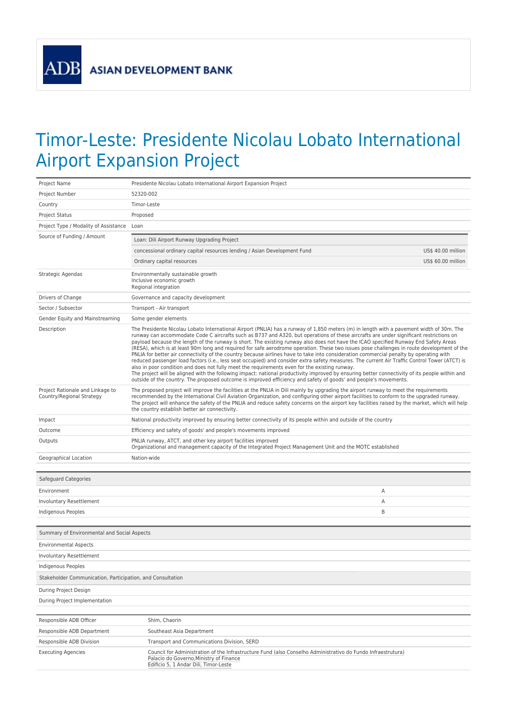**ADB** 

## Timor-Leste: Presidente Nicolau Lobato International Airport Expansion Project

| Project Name                                                  | Presidente Nicolau Lobato International Airport Expansion Project                                                                                                                                                                                                                                                                                                                                                                                                                                                                                                                                                                                                                                                                                                                                                                                                                                                                                                                                                                                                                                                                                                                                                                          |                    |
|---------------------------------------------------------------|--------------------------------------------------------------------------------------------------------------------------------------------------------------------------------------------------------------------------------------------------------------------------------------------------------------------------------------------------------------------------------------------------------------------------------------------------------------------------------------------------------------------------------------------------------------------------------------------------------------------------------------------------------------------------------------------------------------------------------------------------------------------------------------------------------------------------------------------------------------------------------------------------------------------------------------------------------------------------------------------------------------------------------------------------------------------------------------------------------------------------------------------------------------------------------------------------------------------------------------------|--------------------|
| Project Number                                                | 52320-002                                                                                                                                                                                                                                                                                                                                                                                                                                                                                                                                                                                                                                                                                                                                                                                                                                                                                                                                                                                                                                                                                                                                                                                                                                  |                    |
| Country                                                       | Timor-Leste                                                                                                                                                                                                                                                                                                                                                                                                                                                                                                                                                                                                                                                                                                                                                                                                                                                                                                                                                                                                                                                                                                                                                                                                                                |                    |
| <b>Project Status</b>                                         | Proposed                                                                                                                                                                                                                                                                                                                                                                                                                                                                                                                                                                                                                                                                                                                                                                                                                                                                                                                                                                                                                                                                                                                                                                                                                                   |                    |
| Project Type / Modality of Assistance                         | Loan                                                                                                                                                                                                                                                                                                                                                                                                                                                                                                                                                                                                                                                                                                                                                                                                                                                                                                                                                                                                                                                                                                                                                                                                                                       |                    |
| Source of Funding / Amount                                    | Loan: Dili Airport Runway Upgrading Project                                                                                                                                                                                                                                                                                                                                                                                                                                                                                                                                                                                                                                                                                                                                                                                                                                                                                                                                                                                                                                                                                                                                                                                                |                    |
|                                                               | concessional ordinary capital resources lending / Asian Development Fund                                                                                                                                                                                                                                                                                                                                                                                                                                                                                                                                                                                                                                                                                                                                                                                                                                                                                                                                                                                                                                                                                                                                                                   | US\$ 40.00 million |
|                                                               | Ordinary capital resources                                                                                                                                                                                                                                                                                                                                                                                                                                                                                                                                                                                                                                                                                                                                                                                                                                                                                                                                                                                                                                                                                                                                                                                                                 | US\$ 60.00 million |
| Strategic Agendas                                             | Environmentally sustainable growth<br>Inclusive economic growth<br>Regional integration                                                                                                                                                                                                                                                                                                                                                                                                                                                                                                                                                                                                                                                                                                                                                                                                                                                                                                                                                                                                                                                                                                                                                    |                    |
| Drivers of Change                                             | Governance and capacity development                                                                                                                                                                                                                                                                                                                                                                                                                                                                                                                                                                                                                                                                                                                                                                                                                                                                                                                                                                                                                                                                                                                                                                                                        |                    |
| Sector / Subsector                                            | Transport - Air transport                                                                                                                                                                                                                                                                                                                                                                                                                                                                                                                                                                                                                                                                                                                                                                                                                                                                                                                                                                                                                                                                                                                                                                                                                  |                    |
| Gender Equity and Mainstreaming                               | Some gender elements                                                                                                                                                                                                                                                                                                                                                                                                                                                                                                                                                                                                                                                                                                                                                                                                                                                                                                                                                                                                                                                                                                                                                                                                                       |                    |
| Description                                                   | The Presidente Nicolau Lobato International Airport (PNLIA) has a runway of 1,850 meters (m) in length with a pavement width of 30m. The<br>runway can accommodate Code C aircrafts such as B737 and A320, but operations of these aircrafts are under significant restrictions on<br>payload because the length of the runway is short. The existing runway also does not have the ICAO specified Runway End Safety Areas<br>(RESA), which is at least 90m long and required for safe aerodrome operation. These two issues pose challenges in route development of the<br>PNLIA for better air connectivity of the country because airlines have to take into consideration commercial penalty by operating with<br>reduced passenger load factors (i.e., less seat occupied) and consider extra safety measures. The current Air Traffic Control Tower (ATCT) is<br>also in poor condition and does not fully meet the requirements even for the existing runway.<br>The project will be aligned with the following impact: national productivity improved by ensuring better connectivity of its people within and<br>outside of the country. The proposed outcome is improved efficiency and safety of goods' and people's movements. |                    |
| Project Rationale and Linkage to<br>Country/Regional Strategy | The proposed project will improve the facilities at the PNLIA in Dili mainly by upgrading the airport runway to meet the requirements<br>recommended by the International Civil Aviation Organization, and configuring other airport facilities to conform to the upgraded runway.<br>The project will enhance the safety of the PNLIA and reduce safety concerns on the airport key facilities raised by the market, which will help<br>the country establish better air connectivity.                                                                                                                                                                                                                                                                                                                                                                                                                                                                                                                                                                                                                                                                                                                                                    |                    |
| Impact                                                        | National productivity improved by ensuring better connectivity of its people within and outside of the country                                                                                                                                                                                                                                                                                                                                                                                                                                                                                                                                                                                                                                                                                                                                                                                                                                                                                                                                                                                                                                                                                                                             |                    |
| Outcome                                                       | Efficiency and safety of goods' and people's movements improved                                                                                                                                                                                                                                                                                                                                                                                                                                                                                                                                                                                                                                                                                                                                                                                                                                                                                                                                                                                                                                                                                                                                                                            |                    |
| Outputs                                                       | PNLIA runway, ATCT, and other key airport facilities improved<br>Organizational and management capacity of the Integrated Project Management Unit and the MOTC established                                                                                                                                                                                                                                                                                                                                                                                                                                                                                                                                                                                                                                                                                                                                                                                                                                                                                                                                                                                                                                                                 |                    |
| Geographical Location                                         | Nation-wide                                                                                                                                                                                                                                                                                                                                                                                                                                                                                                                                                                                                                                                                                                                                                                                                                                                                                                                                                                                                                                                                                                                                                                                                                                |                    |
| Safeguard Categories                                          |                                                                                                                                                                                                                                                                                                                                                                                                                                                                                                                                                                                                                                                                                                                                                                                                                                                                                                                                                                                                                                                                                                                                                                                                                                            |                    |
| Environment                                                   |                                                                                                                                                                                                                                                                                                                                                                                                                                                                                                                                                                                                                                                                                                                                                                                                                                                                                                                                                                                                                                                                                                                                                                                                                                            | Α                  |
| Involuntary Resettlement                                      |                                                                                                                                                                                                                                                                                                                                                                                                                                                                                                                                                                                                                                                                                                                                                                                                                                                                                                                                                                                                                                                                                                                                                                                                                                            | Α                  |
| Indigenous Peoples                                            |                                                                                                                                                                                                                                                                                                                                                                                                                                                                                                                                                                                                                                                                                                                                                                                                                                                                                                                                                                                                                                                                                                                                                                                                                                            | B                  |
|                                                               |                                                                                                                                                                                                                                                                                                                                                                                                                                                                                                                                                                                                                                                                                                                                                                                                                                                                                                                                                                                                                                                                                                                                                                                                                                            |                    |
| Summary of Environmental and Social Aspects                   |                                                                                                                                                                                                                                                                                                                                                                                                                                                                                                                                                                                                                                                                                                                                                                                                                                                                                                                                                                                                                                                                                                                                                                                                                                            |                    |
| <b>Environmental Aspects</b>                                  |                                                                                                                                                                                                                                                                                                                                                                                                                                                                                                                                                                                                                                                                                                                                                                                                                                                                                                                                                                                                                                                                                                                                                                                                                                            |                    |
| Involuntary Resettlement                                      |                                                                                                                                                                                                                                                                                                                                                                                                                                                                                                                                                                                                                                                                                                                                                                                                                                                                                                                                                                                                                                                                                                                                                                                                                                            |                    |
| Indigenous Peoples                                            |                                                                                                                                                                                                                                                                                                                                                                                                                                                                                                                                                                                                                                                                                                                                                                                                                                                                                                                                                                                                                                                                                                                                                                                                                                            |                    |
| Stakeholder Communication, Participation, and Consultation    |                                                                                                                                                                                                                                                                                                                                                                                                                                                                                                                                                                                                                                                                                                                                                                                                                                                                                                                                                                                                                                                                                                                                                                                                                                            |                    |
| During Project Design                                         |                                                                                                                                                                                                                                                                                                                                                                                                                                                                                                                                                                                                                                                                                                                                                                                                                                                                                                                                                                                                                                                                                                                                                                                                                                            |                    |
| During Project Implementation                                 |                                                                                                                                                                                                                                                                                                                                                                                                                                                                                                                                                                                                                                                                                                                                                                                                                                                                                                                                                                                                                                                                                                                                                                                                                                            |                    |
| Responsible ADB Officer                                       | Shim, Chaorin                                                                                                                                                                                                                                                                                                                                                                                                                                                                                                                                                                                                                                                                                                                                                                                                                                                                                                                                                                                                                                                                                                                                                                                                                              |                    |
| Responsible ADB Department                                    | Southeast Asia Department                                                                                                                                                                                                                                                                                                                                                                                                                                                                                                                                                                                                                                                                                                                                                                                                                                                                                                                                                                                                                                                                                                                                                                                                                  |                    |
| Responsible ADB Division                                      | Transport and Communications Division, SERD                                                                                                                                                                                                                                                                                                                                                                                                                                                                                                                                                                                                                                                                                                                                                                                                                                                                                                                                                                                                                                                                                                                                                                                                |                    |
| <b>Executing Agencies</b>                                     | Council for Administration of the Infrastructure Fund (also Conselho Administrativo do Fundo Infraestrutura)<br>Palacio do Governo, Ministry of Finance<br>Edificio 5, 1 Andar Dili, Timor-Leste                                                                                                                                                                                                                                                                                                                                                                                                                                                                                                                                                                                                                                                                                                                                                                                                                                                                                                                                                                                                                                           |                    |